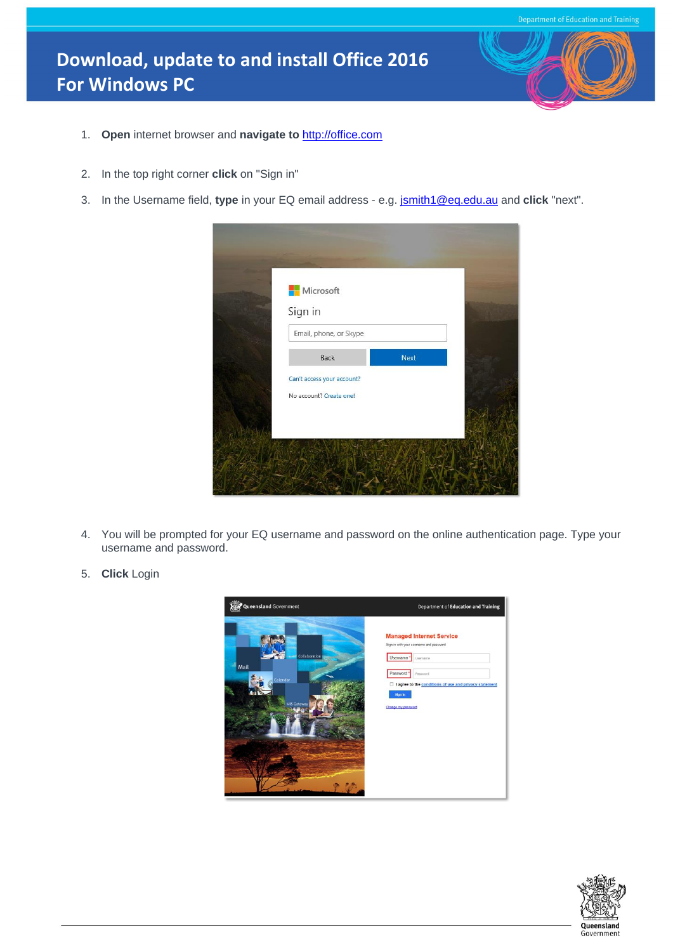## **Download, update to and install Office 2016 For Windows PC**



- 1. **Open** internet browser and **navigate to** [http://office.com](http://office.com/)
- 2. In the top right corner **click** on "Sign in"
- 3. In the Username field, **type** in your EQ email address e.g. [jsmith1@eq.edu.au](mailto:jsmith1@eq.edu.au) and **click** "next".

| <b>Nicrosoft</b><br>Sign in                           |      |  |
|-------------------------------------------------------|------|--|
| Email, phone, or Skype                                |      |  |
| Back                                                  | Next |  |
| Can't access your account?<br>No account? Create one! |      |  |
|                                                       |      |  |

- 4. You will be prompted for your EQ username and password on the online authentication page. Type your username and password.
- 5. **Click** Login

| Queensland Government                                   | Department of Education and Training                                                                                                                                                                                    |
|---------------------------------------------------------|-------------------------------------------------------------------------------------------------------------------------------------------------------------------------------------------------------------------------|
| Collaboration<br>Mail<br>Calendar<br><b>MIS Gateway</b> | <b>Managed Internet Service</b><br>Sign in with your username and password<br>Username<br>Username<br>Password<br>Password<br>□ I agree to the conditions of use and privacy statement<br>Sign in<br>Change my password |

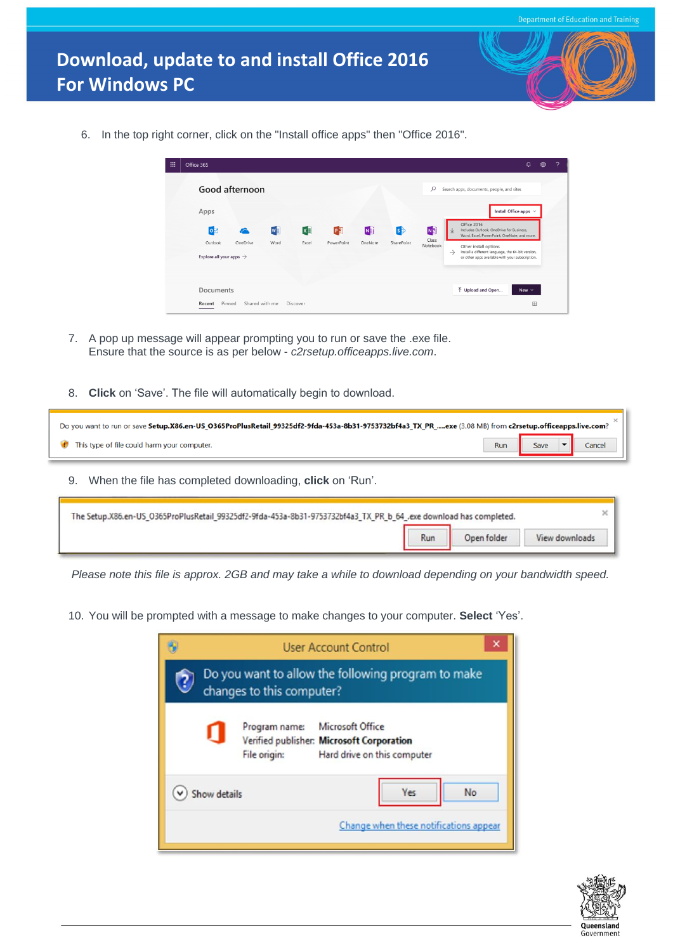6. In the top right corner, click on the "Install office apps" then "Office 2016".

| Apps<br>Office 2016<br>$x \exists$<br>啯<br>N<br>N <sup>3</sup><br>$\bullet$<br>$\mathbf{s}$<br>w<br>Includes Outlook, OneDrive for Business,<br>↓<br>Class<br>Outlook<br>OneDrive<br>Word<br>Excel<br>PowerPoint<br>OneNote<br>SharePoint<br>Notebook<br>Other install options<br>$\rightarrow$<br>Explore all your apps $\rightarrow$ | Install Office apps $\vee$<br>Word, Excel, PowerPoint, OneNote, and more.<br>Install a different language, the 64-bit version,<br>or other apps available with your subscription. | Good afternoon |  |  |  | Q | Search apps, documents, people, and sites |
|----------------------------------------------------------------------------------------------------------------------------------------------------------------------------------------------------------------------------------------------------------------------------------------------------------------------------------------|-----------------------------------------------------------------------------------------------------------------------------------------------------------------------------------|----------------|--|--|--|---|-------------------------------------------|
|                                                                                                                                                                                                                                                                                                                                        |                                                                                                                                                                                   |                |  |  |  |   |                                           |
|                                                                                                                                                                                                                                                                                                                                        |                                                                                                                                                                                   |                |  |  |  |   |                                           |
|                                                                                                                                                                                                                                                                                                                                        |                                                                                                                                                                                   |                |  |  |  |   |                                           |

- 7. A pop up message will appear prompting you to run or save the .exe file. Ensure that the source is as per below - *c2rsetup.officeapps.live.com*.
- 8. **Click** on 'Save'. The file will automatically begin to download.

| Do you want to run or save Setup.X86.en-US_O365ProPlusRetail_99325df2-9fda-453a-8b31-9753732bf4a3_TX_PR_exe (3.08 MB) from c2rsetup.officeapps.live.com? |  |                         |  |        |  |  |
|----------------------------------------------------------------------------------------------------------------------------------------------------------|--|-------------------------|--|--------|--|--|
| This type of file could harm your computer.                                                                                                              |  | Run Save $\blacksquare$ |  | Cancel |  |  |
| When the file has completed downloading click on 'Run'                                                                                                   |  |                         |  |        |  |  |

9. When the file has completed downloading, **click** on 'Run'.

| The Setup.X86.en-US_O365ProPlusRetail_99325df2-9fda-453a-8b31-9753732bf4a3_TX_PR_b_64_.exe download has completed. |  |             |                |  |  |  |
|--------------------------------------------------------------------------------------------------------------------|--|-------------|----------------|--|--|--|
|                                                                                                                    |  | Open folder | View downloads |  |  |  |

*Please note this file is approx. 2GB and may take a while to download depending on your bandwidth speed.*

10. You will be prompted with a message to make changes to your computer. **Select** 'Yes'.

|              | changes to this computer?     | <b>User Account Control</b><br>Do you want to allow the following program to make            |
|--------------|-------------------------------|----------------------------------------------------------------------------------------------|
|              | Program name:<br>File origin: | Microsoft Office<br>Verified publisher: Microsoft Corporation<br>Hard drive on this computer |
| Show details |                               | <b>Yes</b><br>No                                                                             |
|              |                               | Change when these notifications appear                                                       |

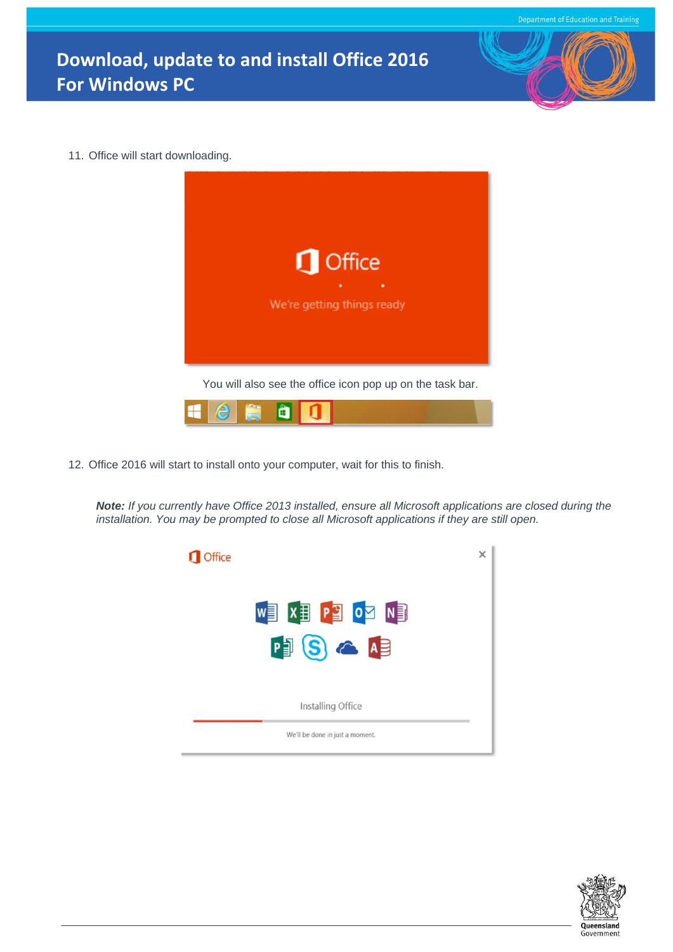## **Download, update to and install Office 2016 For Windows PC**



12. Office 2016 will start to install onto your computer, wait for this to finish.

*Note: If you currently have Office 2013 installed, ensure all Microsoft applications are closed during the installation. You may be prompted to close all Microsoft applications if they are still open.*